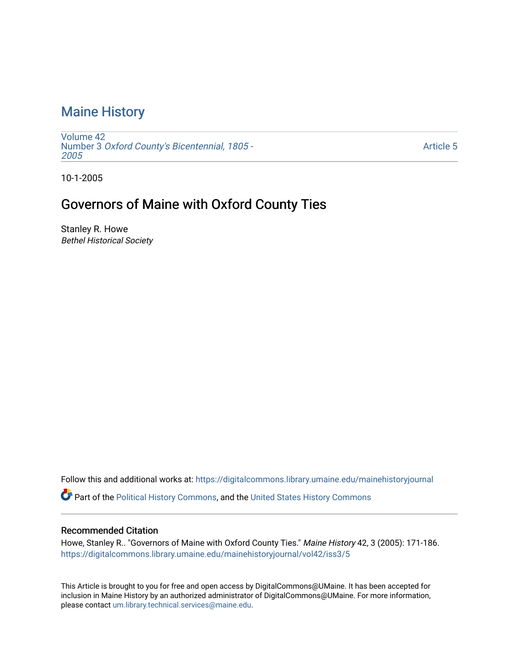# [Maine History](https://digitalcommons.library.umaine.edu/mainehistoryjournal)

[Volume 42](https://digitalcommons.library.umaine.edu/mainehistoryjournal/vol42) Number 3 [Oxford County's Bicentennial, 1805 -](https://digitalcommons.library.umaine.edu/mainehistoryjournal/vol42/iss3) [2005](https://digitalcommons.library.umaine.edu/mainehistoryjournal/vol42/iss3) 

[Article 5](https://digitalcommons.library.umaine.edu/mainehistoryjournal/vol42/iss3/5) 

10-1-2005

## Governors of Maine with Oxford County Ties

Stanley R. Howe Bethel Historical Society

Follow this and additional works at: [https://digitalcommons.library.umaine.edu/mainehistoryjournal](https://digitalcommons.library.umaine.edu/mainehistoryjournal?utm_source=digitalcommons.library.umaine.edu%2Fmainehistoryjournal%2Fvol42%2Fiss3%2F5&utm_medium=PDF&utm_campaign=PDFCoverPages) 

Part of the [Political History Commons,](http://network.bepress.com/hgg/discipline/505?utm_source=digitalcommons.library.umaine.edu%2Fmainehistoryjournal%2Fvol42%2Fiss3%2F5&utm_medium=PDF&utm_campaign=PDFCoverPages) and the [United States History Commons](http://network.bepress.com/hgg/discipline/495?utm_source=digitalcommons.library.umaine.edu%2Fmainehistoryjournal%2Fvol42%2Fiss3%2F5&utm_medium=PDF&utm_campaign=PDFCoverPages)

#### Recommended Citation

Howe, Stanley R.. "Governors of Maine with Oxford County Ties." Maine History 42, 3 (2005): 171-186. [https://digitalcommons.library.umaine.edu/mainehistoryjournal/vol42/iss3/5](https://digitalcommons.library.umaine.edu/mainehistoryjournal/vol42/iss3/5?utm_source=digitalcommons.library.umaine.edu%2Fmainehistoryjournal%2Fvol42%2Fiss3%2F5&utm_medium=PDF&utm_campaign=PDFCoverPages)

This Article is brought to you for free and open access by DigitalCommons@UMaine. It has been accepted for inclusion in Maine History by an authorized administrator of DigitalCommons@UMaine. For more information, please contact [um.library.technical.services@maine.edu.](mailto:um.library.technical.services@maine.edu)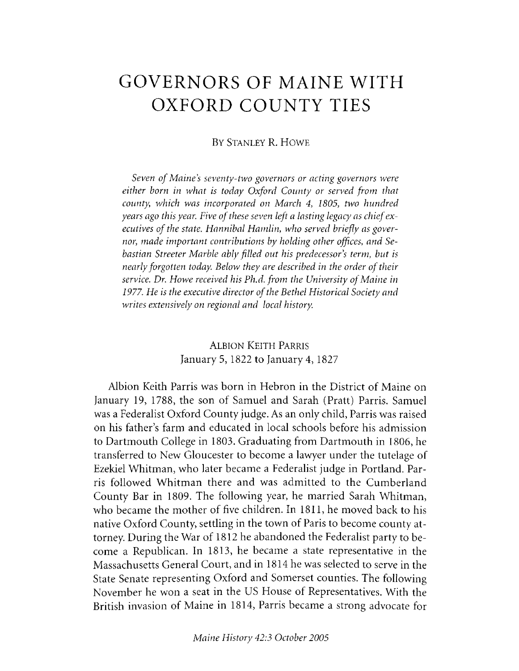# **GOVERNORS OF MAINE WITH OXFORD COUNTY TIES**

#### BY STANLEY R. HOWE

*Seven of Maine's seventy-two governors or acting governors were either born in what is today Oxford County or served from that county which was incorporated on March* 4, *1805, two hundred years ago this year. Five of these seven left a lasting legacy as chief ex*ecutives of the state. Hannibal Hamlin, who served briefly as gover*nor, made important contributions by holding other offices*, *and Sebastian Streeter Marble ably filled out his predecessor s term, but is nearly forgotten today. Below they are described in the order of their* service. Dr. Howe received his Ph.d. from the University of Maine in 1977. He is the executive director of the Bethel Historical Society and *writes extensively on regional and local history.*

> **ALBION KEITH PARRIS** January 5, 1822 to January 4, 1827

Albion Keith Parris was born in Hebron in the District of Maine on January 19, 1788, the son of Samuel and Sarah (Pratt) Parris. Samuel was a Federalist Oxford County judge. As an only child, Parris was raised on his father's farm and educated in local schools before his admission to Dartmouth College in 1803. Graduating from Dartmouth in 1806, he transferred to New Gloucester to become a lawyer under the tutelage of Ezekiel Whitman, who later became a Federalist judge in Portland. Parris followed Whitman there and was admitted to the Cumberland County Bar in 1809. The following year, he married Sarah Whitman, who became the mother of five children. In 1811, he moved back to his native Oxford County, settling in the town of Paris to become county attorney. During the War of 1812 he abandoned the Federalist party to become a Republican. In 1813, he became a state representative in the Massachusetts General Court, and in 1814 he was selected to serve in the State Senate representing Oxford and Somerset counties. The following November he won a seat in the US House of Representatives. With the British invasion of Maine in 1814, Parris became a strong advocate for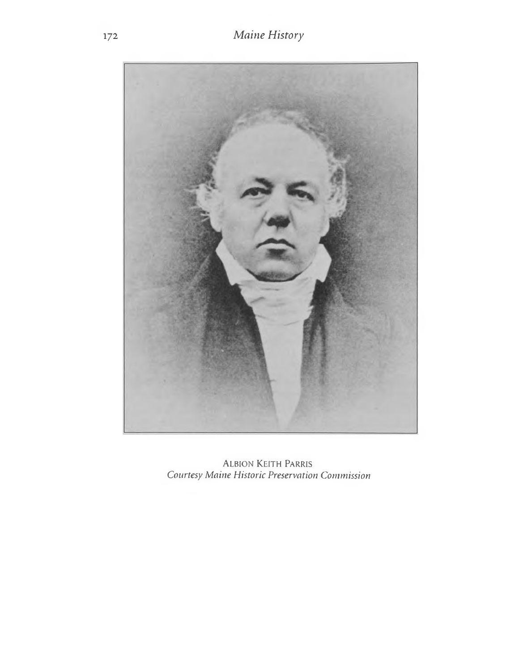

ALBION KEITH PARRIS Courtesy Maine Historic Preservation Commission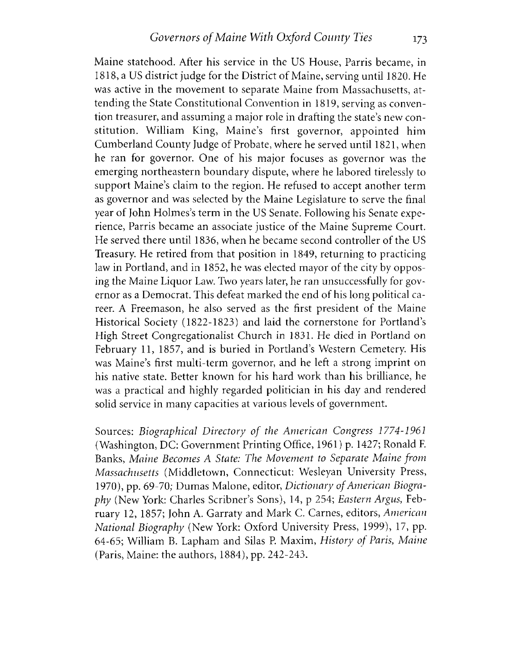Maine statehood. After his service in the US House, Parris became, in 1818, a US district judge for the District of Maine, serving until 1820. He was active in the movement to separate Maine from Massachusetts, attending the State Constitutional Convention in 1819, serving as convention treasurer, and assuming a major role in drafting the state's new constitution. William King, Maine's first governor, appointed him Cumberland County Judge of Probate, where he served until 1821, when he ran for governor. One of his major focuses as governor was the emerging northeastern boundary dispute, where he labored tirelessly to support Maine's claim to the region. He refused to accept another term as governor and was selected by the Maine Legislature to serve the final year of John Holmes's term in the US Senate. Following his Senate experience, Parris became an associate justice of the Maine Supreme Court. He served there until 1836, when he became second controller of the US Treasury. He retired from that position in 1849, returning to practicing law in Portland, and in 1852, he was elected mayor of the city by opposing the Maine Liquor Law. Two years later, he ran unsuccessfully for governor as a Democrat. This defeat marked the end of his long political career. A Freemason, he also served as the first president of the Maine Historical Society (1822-1823) and laid the cornerstone for Portland's High Street Congregationalist Church in 1831. He died in Portland on February 11, 1857, and is buried in Portland's Western Cemetery. His was Maine's first multi-term governor, and he left a strong imprint on his native state. Better known for his hard work than his brilliance, he was a practical and highly regarded politician in his day and rendered solid service in many capacities at various levels of government.

Sources: *Biographical Directory of the American Congress 1774-1961* (Washington, DC: Government Printing Office, 1961) p. 1427; Ronald F. Banks, *M aine Becom es* A *State: The M ovem ent to Separate M aine from M assachusetts* (Middletown, Connecticut: Wesleyan University Press, 1970), pp. 69-70; Dumas Malone, editor, *Dictionary of American Biography* (New York: Charles Scribner's Sons), 14, p 254; *Eastern Argus*, February 12, 1857; John A. Garraty and Mark C. Carnes, editors, American *N ational Biography* (New York: Oxford University Press, 1999), 17, pp. 64-65; William B. Lapham and Silas P. Maxim, *History of Paris, Maine* (Paris, Maine: the authors, 1884), pp. 242-243.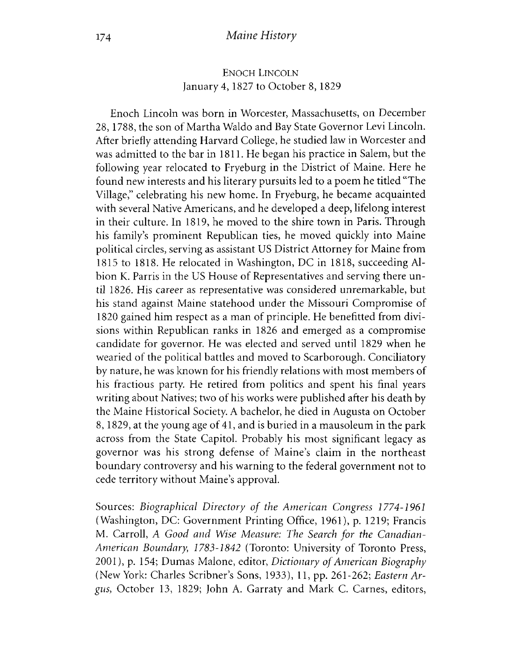#### ENOCH LINCOLN January 4, 1827 to October 8,1829

Enoch Lincoln was born in Worcester, Massachusetts, on December 28,1788, the son of Martha Waldo and Bay State Governor Levi Lincoln. After briefly attending Harvard College, he studied law in Worcester and was admitted to the bar in 1811. He began his practice in Salem, but the following year relocated to Fryeburg in the District of Maine. Here he found new interests and his literary pursuits led to a poem he titled "The Village," celebrating his new home. In Fryeburg, he became acquainted with several Native Americans, and he developed a deep, lifelong interest in their culture. In 1819, he moved to the shire town in Paris. Through his family's prominent Republican ties, he moved quickly into Maine political circles, serving as assistant US District Attorney for Maine from 1815 to 1818. He relocated in Washington, DC in 1818, succeeding Albion K. Parris in the US House of Representatives and serving there until 1826. His career as representative was considered unremarkable, but his stand against Maine statehood under the Missouri Compromise of 1820 gained him respect as a man of principle. He benefited from divisions within Republican ranks in 1826 and emerged as a compromise candidate for governor. He was elected and served until 1829 when he wearied of the political battles and moved to Scarborough. Conciliatory by nature, he was known for his friendly relations with most members of his fractious party. He retired from politics and spent his final years writing about Natives; two of his works were published after his death by the Maine Historical Society. A bachelor, he died in Augusta on October 8, 1829, at the young age of 41, and is buried in a mausoleum in the park across from the State Capitol. Probably his most significant legacy as governor was his strong defense of Maine's claim in the northeast boundary controversy and his warning to the federal government not to cede territory without Maine's approval.

Sources: *Biographical Directory of the American Congress 1774-1961* (Washington, DC: Government Printing Office, 1961), p. 1219; Francis M. Carroll, A Good and Wise Measure: The Search for the Canadian-*American Boundary, 1783-1842* (Toronto: University of Toronto Press, 2001), p. 154; Dumas Malone, editor, *Dictionary of American Biography* (New York: Charles Scribner's Sons, 1933), 11 , pp. 261-262; *Eastern Argus*, October 13, 1829; John A. Garraty and Mark C. Carnes, editors,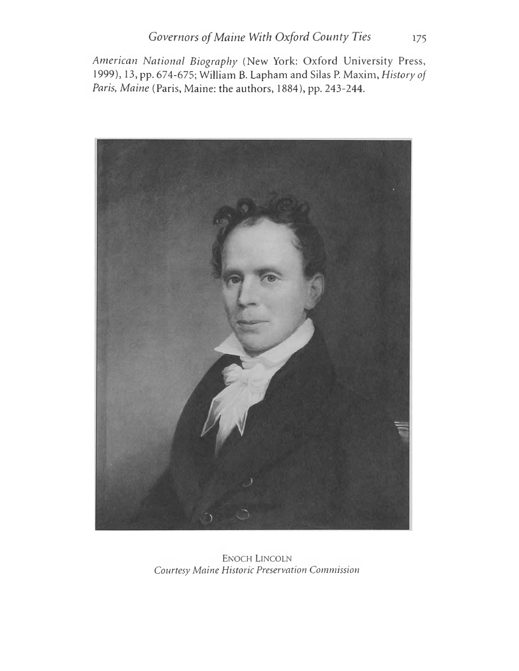American National Biography (New York: Oxford University Press, 1999), 13, pp. 674-675; William B. Lapham and Silas P. Maxim, History of Paris, Maine (Paris, Maine: the authors, 1884), pp. 243-244.



**ENOCH LINCOLN** Courtesy Maine Historic Preservation Commission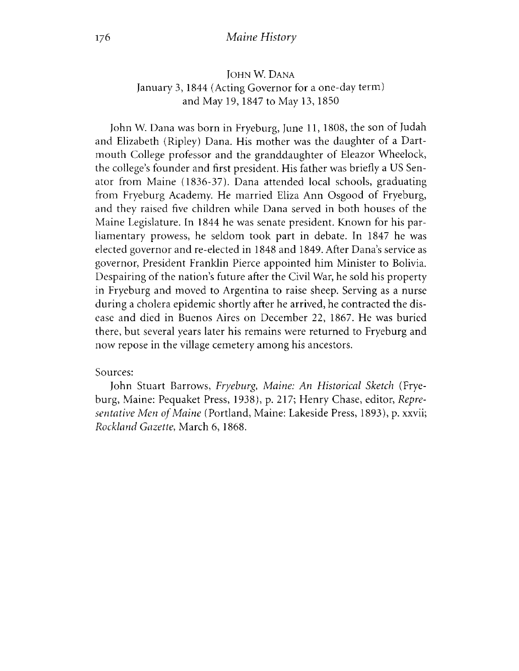#### 176 *Maine History*

#### John W. Dana January 3, 1844 (Acting Governor for a one-day term) and May 19, 1847 to May 13, 1850

John W. Dana was born in Fryeburg, June 11, 1808, the son of Judah and Elizabeth (Ripley) Dana. His mother was the daughter of a Dartmouth College professor and the granddaughter of Eleazor Wheelock, the college's founder and first president. His father was briefly a US Senator from Maine (1836-37). Dana attended local schools, graduating from Fryeburg Academy. He married Eliza Ann Osgood of Fryeburg, and they raised five children while Dana served in both houses of the Maine Legislature. In 1844 he was senate president. Known for his parliamentary prowess, he seldom took part in debate. In 1847 he was elected governor and re-elected in 1848 and 1849. After Dana's service as governor, President Franklin Pierce appointed him Minister to Bolivia. Despairing of the nation's future after the Civil War, he sold his property in Fryeburg and moved to Argentina to raise sheep. Serving as a nurse during a cholera epidemic shortly after he arrived, he contracted the disease and died in Buenos Aires on December 22, 1867. He was buried there, but several years later his remains were returned to Fryeburg and now repose in the village cemetery among his ancestors.

#### Sources:

John Stuart Barrows, *Fryeburg*, *Maine: An Historical Sketch* (Fryeburg, Maine: Pequaket Press, 1938), p. 217; Henry Chase, editor, *Representative Men of Maine* (Portland, Maine: Lakeside Press, 1893), p. xxvii; *Rockland Gazette, March 6, 1868.*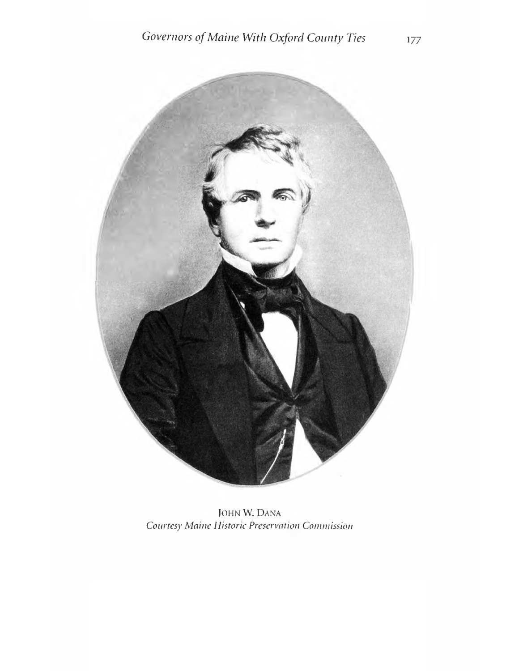![](_page_7_Picture_1.jpeg)

JOHN W. DANA Courtesy Maine Historic Preservation Commission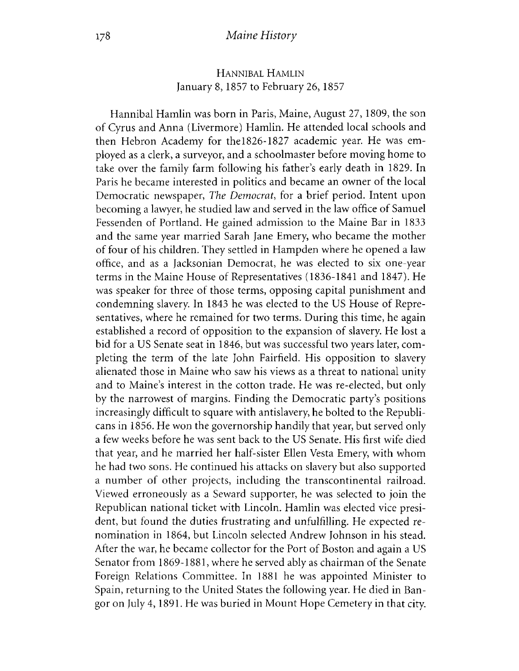## HANNIBAL HAMLIN January 8,1857 to February 26,1857

Hannibal Hamlin was born in Paris, Maine, August 27, 1809, the son of Cyrus and Anna (Livermore) Hamlin. He attended local schools and then Hebron Academy for the 1826-1827 academic year. He was employed as a clerk, a surveyor, and a schoolmaster before moving home to take over the family farm following his father's early death in 1829. In Paris he became interested in politics and became an owner of the local Democratic newspaper, *The Democrat*, for a brief period. Intent upon becoming a lawyer, he studied law and served in the law office of Samuel Fessenden of Portland. He gained admission to the Maine Bar in 1833 and the same year married Sarah Jane Emery, who became the mother of four of his children. They settled in Hampden where he opened a law office, and as a Jacksonian Democrat, he was elected to six one-year terms in the Maine House of Representatives (1836-1841 and 1847). He was speaker for three of those terms, opposing capital punishment and condemning slavery. In 1843 he was elected to the US House of Representatives, where he remained for two terms. During this time, he again established a record of opposition to the expansion of slavery. He lost a bid for a US Senate seat in 1846, but was successful two years later, com pleting the term of the late John Fairfield. His opposition to slavery alienated those in Maine who saw his views as a threat to national unity and to Maine's interest in the cotton trade. He was re-elected, but only by the narrowest of margins. Finding the Democratic party's positions increasingly difficult to square with antislavery, he bolted to the Republicans in 1856. He won the governorship handily that year, but served only a few weeks before he was sent back to the US Senate. His first wife died that year, and he married her half-sister Ellen Vesta Emery, with whom he had two sons. He continued his attacks on slavery but also supported a number of other projects, including the transcontinental railroad. Viewed erroneously as a Seward supporter, he was selected to join the Republican national ticket with Lincoln. Hamlin was elected vice president, but found the duties frustrating and unfulfilling. He expected renomination in 1864, but Lincoln selected Andrew Johnson in his stead. After the war, he became collector for the Port of Boston and again a US Senator from 1869-1881, where he served ably as chairman of the Senate Foreign Relations Committee. In 1881 he was appointed Minister to Spain, returning to the United States the following year. He died in Bangor on July 4, 1891. He was buried in Mount Hope Cemetery in that city.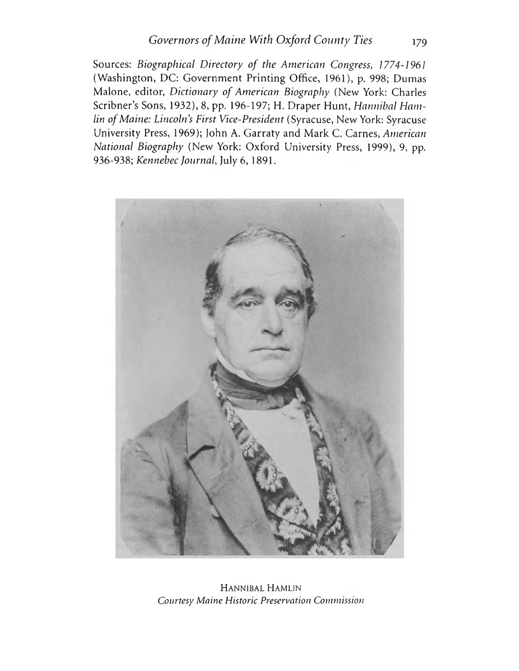Sources: *Biographical Directory of the American Congress, 1774-1961* (Washington, DC: Government Printing Office, 1961), p. 998; Dumas Malone, editor, *Dictionary of American Biography* (New York: Charles Scribner's Sons, 1932), 8, pp. 196-197; H. Draper Hunt, *Hannibal Hamlin of Maine: Lincoln's First Vice-President* (Syracuse, New York: Syracuse University Press, 1969); John A. Garraty and Mark C. Carnes, *American National Biography* (New York: Oxford University Press, 1999), 9, pp. 936-938; *Kennebec Journal*, July 6, 1891.

![](_page_9_Picture_2.jpeg)

Hannibal Hamlin *Courtesy Maine Historic Preservation Commission*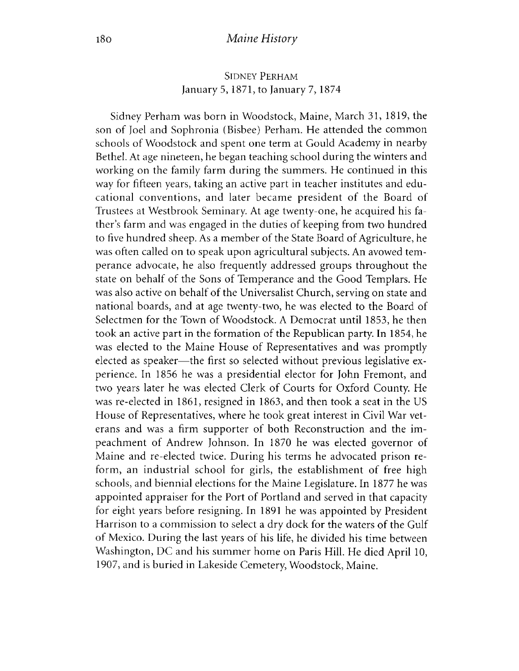#### SIDNEY PERHAM January 5, 1871, to January 7, 1874

Sidney Perham was born in Woodstock, Maine, March 31, 1819, the son of Joel and Sophronia (Bisbee) Perham. He attended the common schools of Woodstock and spent one term at Gould Academy in nearby Bethel. At age nineteen, he began teaching school during the winters and working on the family farm during the summers. He continued in this way for fifteen years, taking an active part in teacher institutes and educational conventions, and later became president of the Board of Trustees at Westbrook Seminary. At age twenty-one, he acquired his father's farm and was engaged in the duties of keeping from two hundred to five hundred sheep. As a member of the State Board of Agriculture, he was often called on to speak upon agricultural subjects. An avowed temperance advocate, he also frequently addressed groups throughout the state on behalf of the Sons of Temperance and the Good Templars. He was also active on behalf of the Universalist Church, serving on state and national boards, and at age twenty-two, he was elected to the Board of Selectmen for the Town of Woodstock. A Democrat until 1853, he then took an active part in the formation of the Republican party. In 1854, he was elected to the Maine House of Representatives and was promptly elected as speaker— the first so selected without previous legislative experience. In 1856 he was a presidential elector for John Fremont, and two years later he was elected Clerk of Courts for Oxford County. He was re-elected in 1861, resigned in 1863, and then took a seat in the US House of Representatives, where he took great interest in Civil War veterans and was a firm supporter of both Reconstruction and the impeachment of Andrew Johnson. In 1870 he was elected governor of Maine and re-elected twice. During his terms he advocated prison reform, an industrial school for girls, the establishment of free high schools, and biennial elections for the Maine Legislature. In 1877 he was appointed appraiser for the Port of Portland and served in that capacity for eight years before resigning. In 1891 he was appointed by President Harrison to a commission to select a dry dock for the waters of the Gulf of Mexico. During the last years of his life, he divided his time between Washington, DC and his summer home on Paris Hill. He died April 10, 1907, and is buried in Lakeside Cemetery, Woodstock, Maine.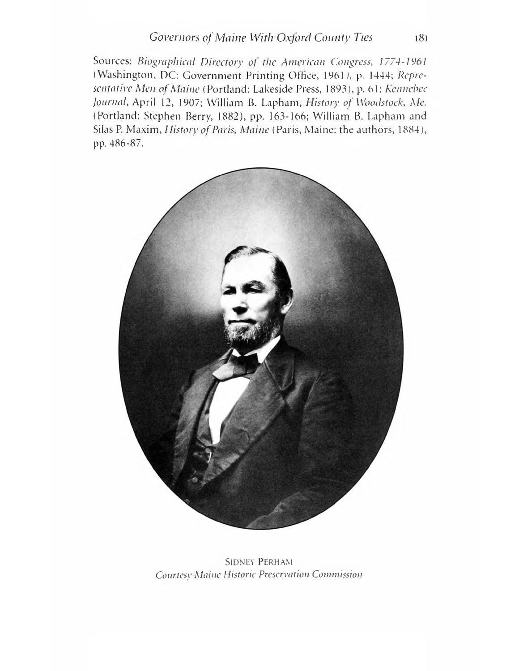Sources: *Biographical Directory of the American Congress, 1774-1961* (Washington, DC: Government Printing Office, 1961), p. 1444; *Representative Men of Maine* (Portland: Lakeside Press, 1893), p. 61; *Kennebec Journal*, April 12, 1907; William B. Lapham, *History of Woodstock*, *Me.* (Portland: Stephen Berry, 1882), pp. 163-166; William B. Lapham and Silas P. Maxim, *History of Paris, Maine* (Paris, Maine: the authors, 1884), pp. 486-87.

![](_page_11_Picture_2.jpeg)

Sidney Perham *Courtesy Maine Historic Preservation Commission*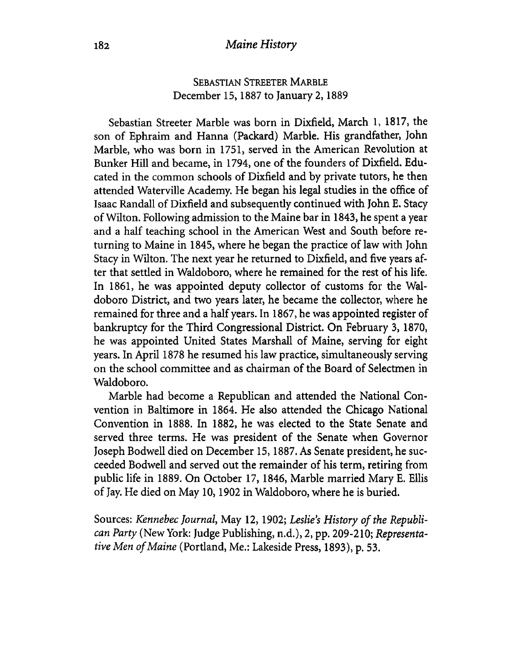### Sebastian Streeter Marble December 15,1887 to January 2,1889

Sebastian Streeter Marble was born in Dixfield, March 1, 1817, the son of Ephraim and Hanna (Packard) Marble. His grandfather, John Marble, who was born in 1751, served in the American Revolution at Bunker Hill and became, in 1794, one of the founders of Dixfield. Educated in the common schools of Dixfield and by private tutors, he then attended Waterville Academy. He began his legal studies in the office of Isaac Randall of Dixfield and subsequently continued with John E. Stacy of Wilton. Following admission to the Maine bar in 1843, he spent a year and a half teaching school in the American West and South before returning to Maine in 1845, where he began the practice of law with John Stacy in Wilton. The next year he returned to Dixfield, and five years after that settled in Waldoboro, where he remained for the rest of his life. In 1861, he was appointed deputy collector of customs for the Waldoboro District, and two years later, he became the collector, where he remained for three and a half years. In 1867, he was appointed register of bankruptcy for the Third Congressional District. On February 3, 1870, he was appointed United States Marshall of Maine, serving for eight years. In April 1878 he resumed his law practice, simultaneously serving on the school committee and as chairman of the Board of Selectmen in Waldoboro.

Marble had become a Republican and attended the National Convention in Baltimore in 1864. He also attended the Chicago National Convention in 1888. In 1882, he was elected to the State Senate and served three terms. He was president of the Senate when Governor Joseph Bodwell died on December 15,1887. As Senate president, he succeeded Bodwell and served out the remainder of his term, retiring from public life in 1889. On October 17, 1846, Marble married Mary E. Ellis of Jay. He died on May 10,1902 in Waldoboro, where he is buried.

Sources: *Kennebec Journal*, May 12, 1902; Leslie's History of the Republi*can Party* (New York: Judge Publishing, n.d.), 2, pp. 209-210; *Representa*tive Men of Maine (Portland, Me.: Lakeside Press, 1893), p. 53.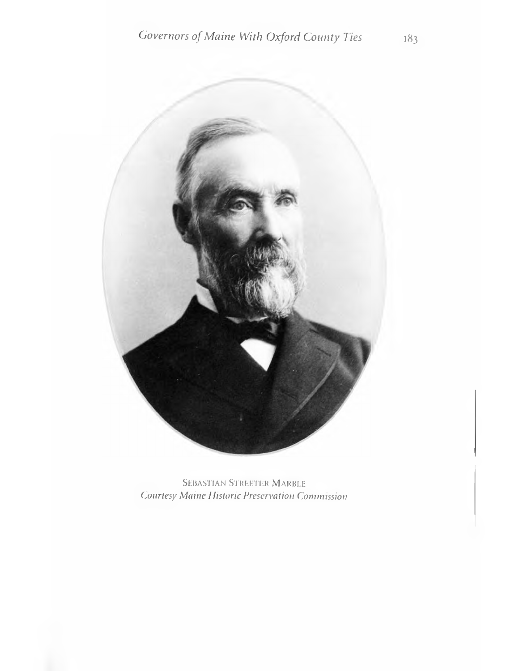![](_page_13_Picture_1.jpeg)

SEBASTIAN STREETER MARBLE **Courtesy Maine Historic Preservation Commission**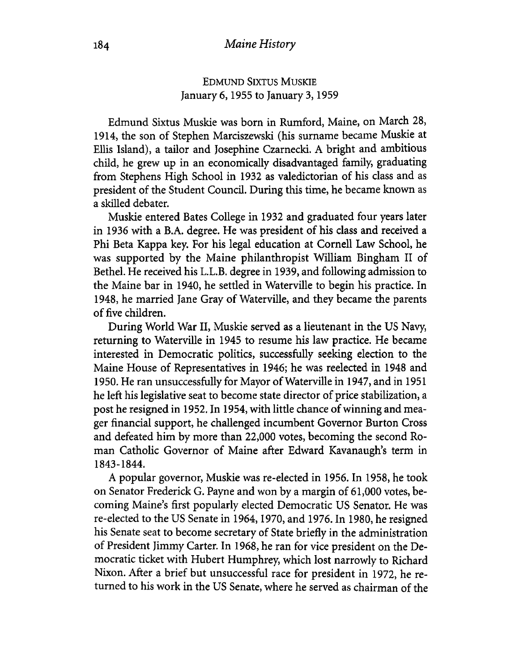## **Edmund Sixtus Muskie** January 6,1955 to January 3,1959

Edmund Sixtus Muskie was born in Rumford, Maine, on March 28, 1914, the son of Stephen Marciszewski (his surname became Muskie at Ellis Island), a tailor and Josephine Czarnecki. A bright and ambitious child, he grew up in an economically disadvantaged family, graduating from Stephens High School in 1932 as valedictorian of his class and as president of the Student Council. During this time, he became known as a skilled debater.

Muskie entered Bates College in 1932 and graduated four years later in 1936 with a B.A. degree. He was president of his class and received a Phi Beta Kappa key. For his legal education at Cornell Law School, he was supported by the Maine philanthropist William Bingham II of Bethel. He received his L.L.B. degree in 1939, and following admission to the Maine bar in 1940, he settled in Waterville to begin his practice. In 1948, he married Jane Gray of Waterville, and they became the parents of five children.

During World War II, Muskie served as a lieutenant in the US Navy, returning to Waterville in 1945 to resume his law practice. He became interested in Democratic politics, successfully seeking election to the Maine House of Representatives in 1946; he was reelected in 1948 and 1950. He ran unsuccessfully for Mayor of Waterville in 1947, and in 1951 he left his legislative seat to become state director of price stabilization, a post he resigned in 1952. In 1954, with little chance of winning and meager financial support, he challenged incumbent Governor Burton Cross and defeated him by more than 22,000 votes, becoming the second Roman Catholic Governor of Maine after Edward Kavanaugh's term in 1843-1844.

A popular governor, Muskie was re-elected in 1956. In 1958, he took on Senator Frederick G. Payne and won by a margin of 61,000 votes, becoming Maine's first popularly elected Democratic US Senator. He was re-elected to the US Senate in 1964,1970, and 1976. In 1980, he resigned his Senate seat to become secretary of State briefly in the administration of President Jimmy Carter. In 1968, he ran for vice president on the Democratic ticket with Hubert Humphrey, which lost narrowly to Richard Nixon. After a brief but unsuccessful race for president in 1972, he returned to his work in the US Senate, where he served as chairman of the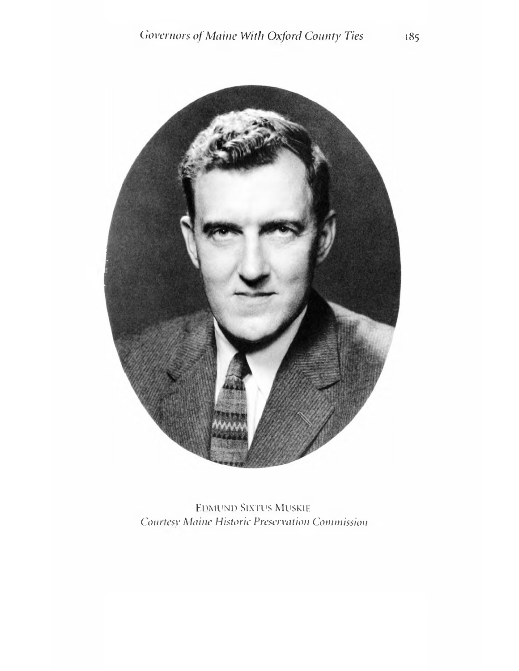![](_page_15_Picture_1.jpeg)

**EDMUND SIXTUS MUSKIE** Courtesy Maine Historic Preservation Commission